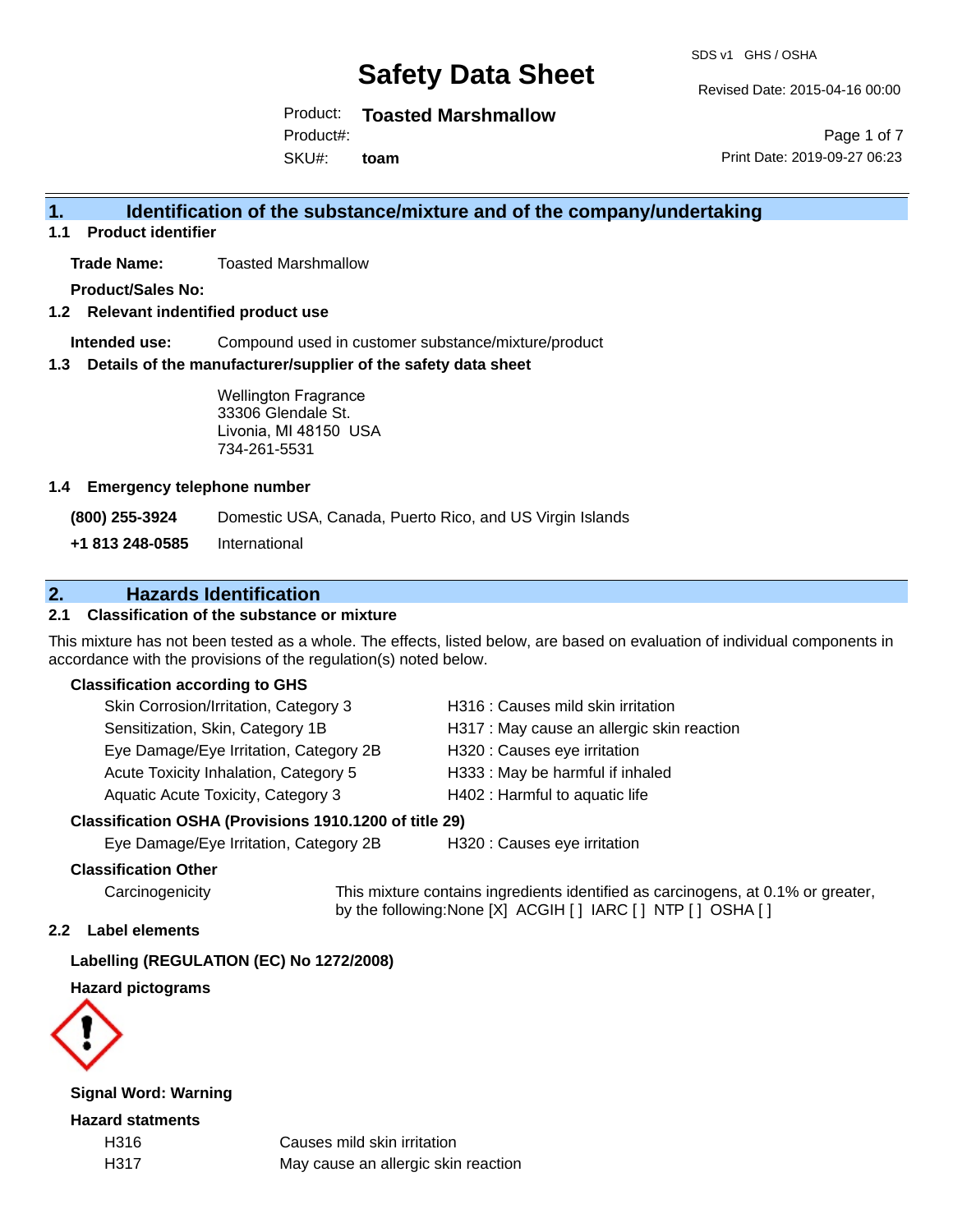SDS v1 GHS / OSHA

Revised Date: 2015-04-16 00:00

Product: **Toasted Marshmallow**

Product#:

SKU#: **toam**

Page 1 of 7 Print Date: 2019-09-27 06:23

# **1. Identification of the substance/mixture and of the company/undertaking**

**1.1 Product identifier**

**Trade Name:** Toasted Marshmallow

**Product/Sales No:**

**1.2 Relevant indentified product use**

**Intended use:** Compound used in customer substance/mixture/product

**1.3 Details of the manufacturer/supplier of the safety data sheet**

Wellington Fragrance 33306 Glendale St. Livonia, MI 48150 USA 734-261-5531

#### **1.4 Emergency telephone number**

**(800) 255-3924** Domestic USA, Canada, Puerto Rico, and US Virgin Islands

**+1 813 248-0585** International

# **2. Hazards Identification**

### **2.1 Classification of the substance or mixture**

This mixture has not been tested as a whole. The effects, listed below, are based on evaluation of individual components in accordance with the provisions of the regulation(s) noted below.

#### **Classification according to GHS**

| Skin Corrosion/Irritation, Category 3  | H316 : Causes mild skin irritation         |
|----------------------------------------|--------------------------------------------|
| Sensitization, Skin, Category 1B       | H317 : May cause an allergic skin reaction |
| Eye Damage/Eye Irritation, Category 2B | H320 : Causes eye irritation               |
| Acute Toxicity Inhalation, Category 5  | H333: May be harmful if inhaled            |
| Aquatic Acute Toxicity, Category 3     | H402 : Harmful to aquatic life             |
|                                        |                                            |

#### **Classification OSHA (Provisions 1910.1200 of title 29)**

Eye Damage/Eye Irritation, Category 2B H320 : Causes eye irritation

#### **Classification Other**

Carcinogenicity This mixture contains ingredients identified as carcinogens, at 0.1% or greater, by the following:None [X] ACGIH [ ] IARC [ ] NTP [ ] OSHA [ ]

#### **2.2 Label elements**

#### **Labelling (REGULATION (EC) No 1272/2008)**

**Hazard pictograms**



**Signal Word: Warning**

**Hazard statments**

H316 Causes mild skin irritation H317 May cause an allergic skin reaction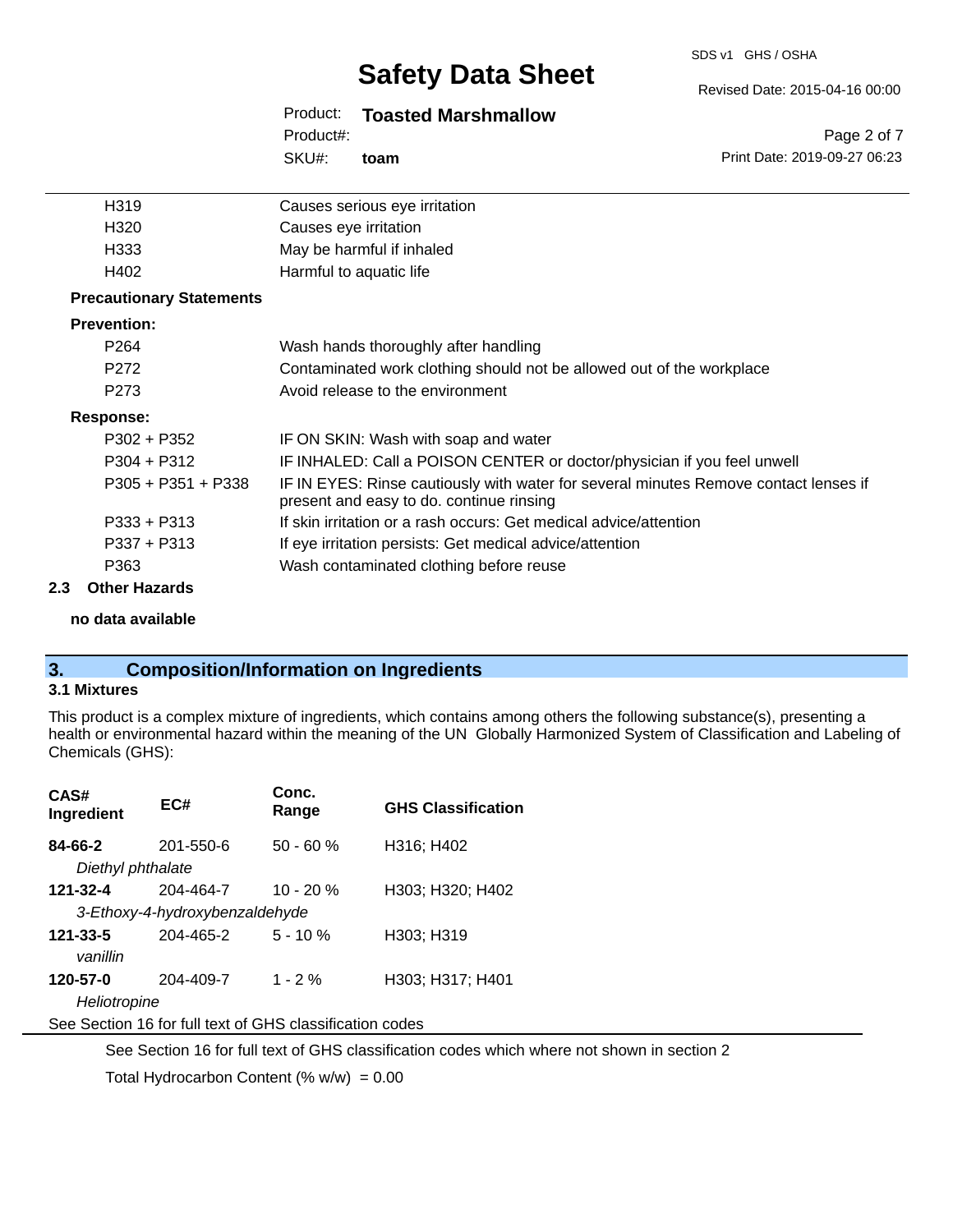#### SDS v1 GHS / OSHA

# **Safety Data Sheet**

#### Product: **Toasted Marshmallow**

SKU#: Product#: **toam**

| H319                            | Causes serious eye irritation                                                                                                    |
|---------------------------------|----------------------------------------------------------------------------------------------------------------------------------|
| H320                            | Causes eye irritation                                                                                                            |
| H333                            | May be harmful if inhaled                                                                                                        |
| H402                            | Harmful to aquatic life                                                                                                          |
| <b>Precautionary Statements</b> |                                                                                                                                  |
| <b>Prevention:</b>              |                                                                                                                                  |
| P <sub>264</sub>                | Wash hands thoroughly after handling                                                                                             |
| P272                            | Contaminated work clothing should not be allowed out of the workplace                                                            |
| P <sub>273</sub>                | Avoid release to the environment                                                                                                 |
| Response:                       |                                                                                                                                  |
| $P302 + P352$                   | IF ON SKIN: Wash with soap and water                                                                                             |
| $P304 + P312$                   | IF INHALED: Call a POISON CENTER or doctor/physician if you feel unwell                                                          |
| $P305 + P351 + P338$            | IF IN EYES: Rinse cautiously with water for several minutes Remove contact lenses if<br>present and easy to do. continue rinsing |
| $P333 + P313$                   | If skin irritation or a rash occurs: Get medical advice/attention                                                                |
| $P337 + P313$                   | If eye irritation persists: Get medical advice/attention                                                                         |
| P363                            | Wash contaminated clothing before reuse                                                                                          |
| <b>Other Hazards</b><br>2.3     |                                                                                                                                  |

#### **no data available**

# **3. Composition/Information on Ingredients**

## **3.1 Mixtures**

This product is a complex mixture of ingredients, which contains among others the following substance(s), presenting a health or environmental hazard within the meaning of the UN Globally Harmonized System of Classification and Labeling of Chemicals (GHS):

| CAS#<br>Ingredient                                       | EC#                            | Conc.<br>Range | <b>GHS Classification</b> |
|----------------------------------------------------------|--------------------------------|----------------|---------------------------|
| 84-66-2                                                  | 201-550-6                      | $50 - 60 %$    | H316; H402                |
| Diethyl phthalate                                        |                                |                |                           |
| 121-32-4                                                 | 204-464-7                      | $10 - 20 %$    | H303; H320; H402          |
|                                                          | 3-Ethoxy-4-hydroxybenzaldehyde |                |                           |
| 121-33-5                                                 | 204-465-2                      | $5 - 10%$      | H303; H319                |
| vanillin                                                 |                                |                |                           |
| 120-57-0                                                 | 204-409-7                      | $1 - 2%$       | H303; H317; H401          |
| Heliotropine                                             |                                |                |                           |
| See Section 16 for full text of GHS classification codes |                                |                |                           |

See Section 16 for full text of GHS classification codes which where not shown in section 2

Total Hydrocarbon Content (%  $w/w$ ) = 0.00

Revised Date: 2015-04-16 00:00

Page 2 of 7 Print Date: 2019-09-27 06:23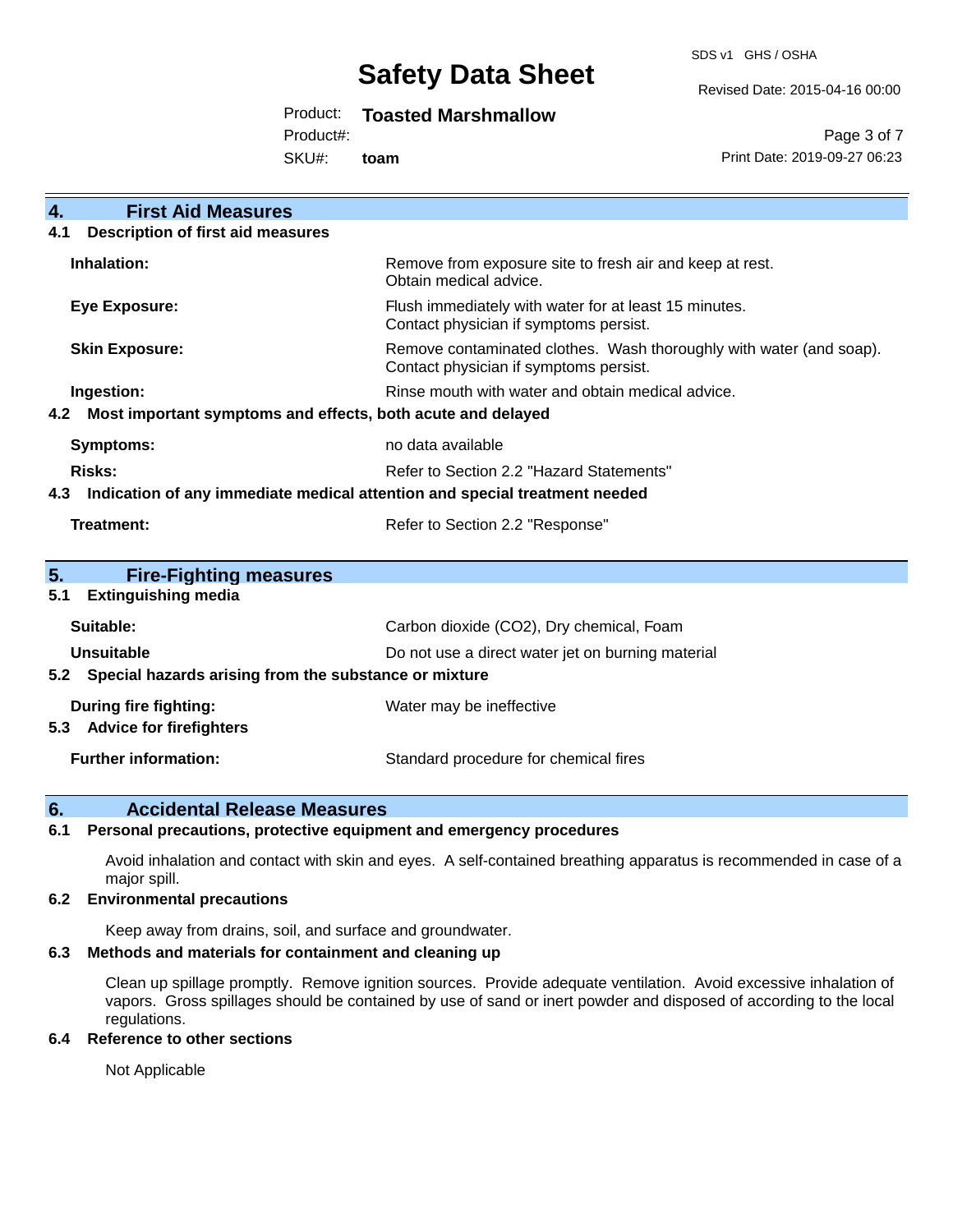SDS v1 GHS / OSHA

Revised Date: 2015-04-16 00:00

# Product: **Toasted Marshmallow**

Product#:

SKU#: **toam**

Page 3 of 7 Print Date: 2019-09-27 06:23

| $\overline{4}$ .<br><b>First Aid Measures</b>                                     |                                                                                                               |  |
|-----------------------------------------------------------------------------------|---------------------------------------------------------------------------------------------------------------|--|
| <b>Description of first aid measures</b><br>4.1                                   |                                                                                                               |  |
| Inhalation:                                                                       | Remove from exposure site to fresh air and keep at rest.<br>Obtain medical advice.                            |  |
| <b>Eye Exposure:</b>                                                              | Flush immediately with water for at least 15 minutes.<br>Contact physician if symptoms persist.               |  |
| <b>Skin Exposure:</b>                                                             | Remove contaminated clothes. Wash thoroughly with water (and soap).<br>Contact physician if symptoms persist. |  |
| Ingestion:                                                                        | Rinse mouth with water and obtain medical advice.                                                             |  |
| Most important symptoms and effects, both acute and delayed<br>4.2                |                                                                                                               |  |
| Symptoms:                                                                         | no data available                                                                                             |  |
| Risks:                                                                            | Refer to Section 2.2 "Hazard Statements"                                                                      |  |
| Indication of any immediate medical attention and special treatment needed<br>4.3 |                                                                                                               |  |
| <b>Treatment:</b>                                                                 | Refer to Section 2.2 "Response"                                                                               |  |
| 5.<br><b>Fire-Fighting measures</b>                                               |                                                                                                               |  |
| <b>Extinguishing media</b><br>5.1                                                 |                                                                                                               |  |
| Suitable:                                                                         | Carbon dioxide (CO2), Dry chemical, Foam                                                                      |  |
| <b>Unsuitable</b>                                                                 | Do not use a direct water jet on burning material                                                             |  |
| 5.2 Special hazards arising from the substance or mixture                         |                                                                                                               |  |
| During fire fighting:                                                             | Water may be ineffective                                                                                      |  |
| <b>Advice for firefighters</b><br>5.3                                             |                                                                                                               |  |
| <b>Further information:</b>                                                       | Standard procedure for chemical fires                                                                         |  |

# **6. Accidental Release Measures**

#### **6.1 Personal precautions, protective equipment and emergency procedures**

Avoid inhalation and contact with skin and eyes. A self-contained breathing apparatus is recommended in case of a major spill.

#### **6.2 Environmental precautions**

Keep away from drains, soil, and surface and groundwater.

## **6.3 Methods and materials for containment and cleaning up**

Clean up spillage promptly. Remove ignition sources. Provide adequate ventilation. Avoid excessive inhalation of vapors. Gross spillages should be contained by use of sand or inert powder and disposed of according to the local regulations.

#### **6.4 Reference to other sections**

Not Applicable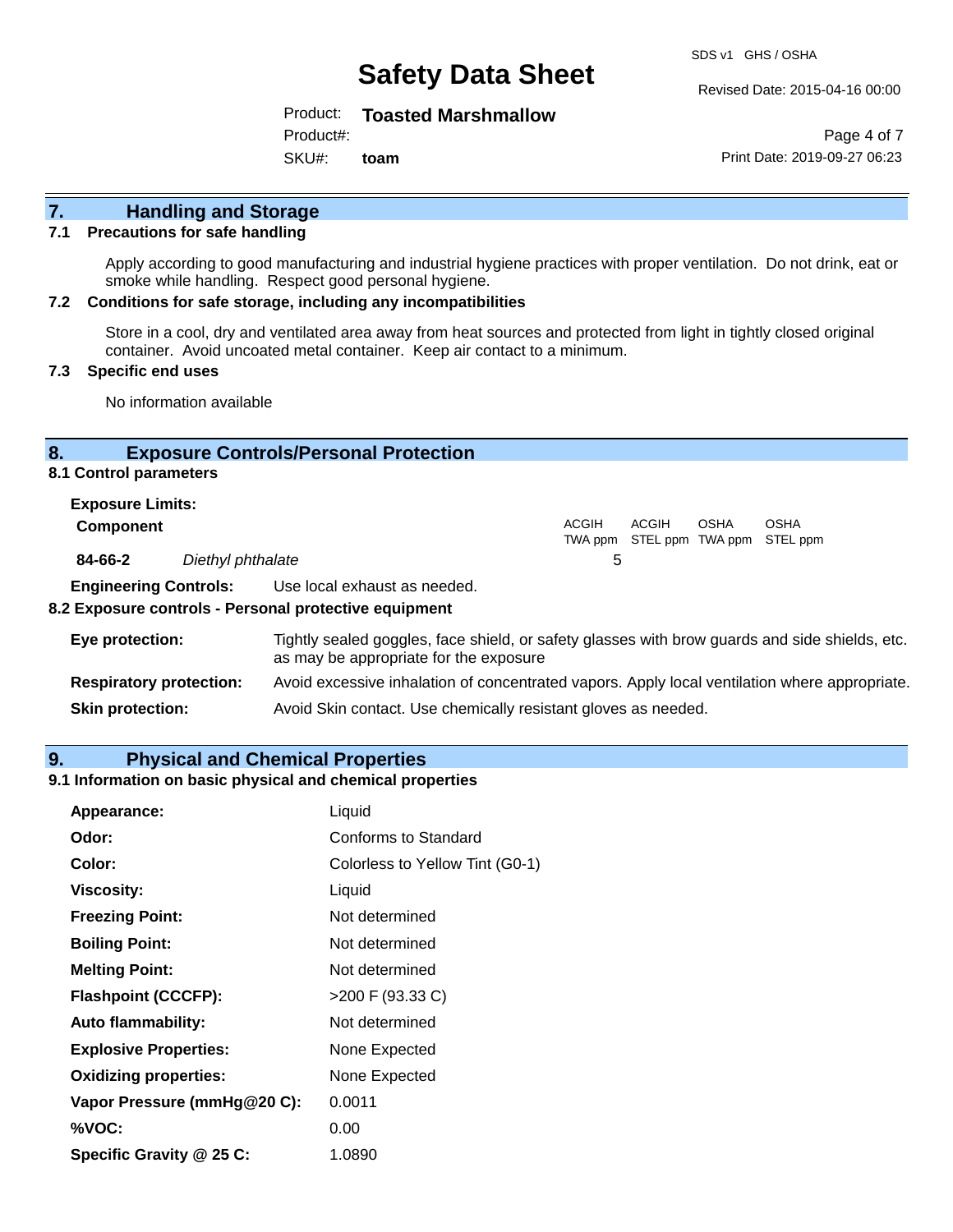SDS v1 GHS / OSHA

Product: **Toasted Marshmallow**

Product#:

SKU#: **toam** Revised Date: 2015-04-16 00:00

Page 4 of 7 Print Date: 2019-09-27 06:23

# **7. Handling and Storage**

#### **7.1 Precautions for safe handling**

Apply according to good manufacturing and industrial hygiene practices with proper ventilation. Do not drink, eat or smoke while handling. Respect good personal hygiene.

#### **7.2 Conditions for safe storage, including any incompatibilities**

Store in a cool, dry and ventilated area away from heat sources and protected from light in tightly closed original container. Avoid uncoated metal container. Keep air contact to a minimum.

#### **7.3 Specific end uses**

No information available

#### **8. Exposure Controls/Personal Protection**

**8.1 Control parameters**

| <b>Exposure Limits:</b> |                   |       |       |      |                                                  |
|-------------------------|-------------------|-------|-------|------|--------------------------------------------------|
| <b>Component</b>        |                   | ACGIH | ACGIH | OSHA | <b>OSHA</b><br>TWA ppm STEL ppm TWA ppm STEL ppm |
| 84-66-2                 | Diethyl phthalate | :5    |       |      |                                                  |
|                         | _ _ _ _ _ _ _     |       |       |      |                                                  |

**Engineering Controls:** Use local exhaust as needed.

#### **8.2 Exposure controls - Personal protective equipment**

| Eye protection:                | Tightly sealed goggles, face shield, or safety glasses with brow guards and side shields, etc.<br>as may be appropriate for the exposure |
|--------------------------------|------------------------------------------------------------------------------------------------------------------------------------------|
| <b>Respiratory protection:</b> | Avoid excessive inhalation of concentrated vapors. Apply local ventilation where appropriate.                                            |
| <b>Skin protection:</b>        | Avoid Skin contact. Use chemically resistant gloves as needed.                                                                           |

#### **9. Physical and Chemical Properties**

## **9.1 Information on basic physical and chemical properties**

| Appearance:                  | Liquid                          |  |
|------------------------------|---------------------------------|--|
| Odor:                        | Conforms to Standard            |  |
| Color:                       | Colorless to Yellow Tint (G0-1) |  |
| <b>Viscosity:</b>            | Liquid                          |  |
| <b>Freezing Point:</b>       | Not determined                  |  |
| <b>Boiling Point:</b>        | Not determined                  |  |
| <b>Melting Point:</b>        | Not determined                  |  |
| <b>Flashpoint (CCCFP):</b>   | >200 F (93.33 C)                |  |
| <b>Auto flammability:</b>    | Not determined                  |  |
| <b>Explosive Properties:</b> | None Expected                   |  |
| <b>Oxidizing properties:</b> | None Expected                   |  |
| Vapor Pressure (mmHg@20 C):  | 0.0011                          |  |
| %VOC:                        | 0.00                            |  |
| Specific Gravity @ 25 C:     | 1.0890                          |  |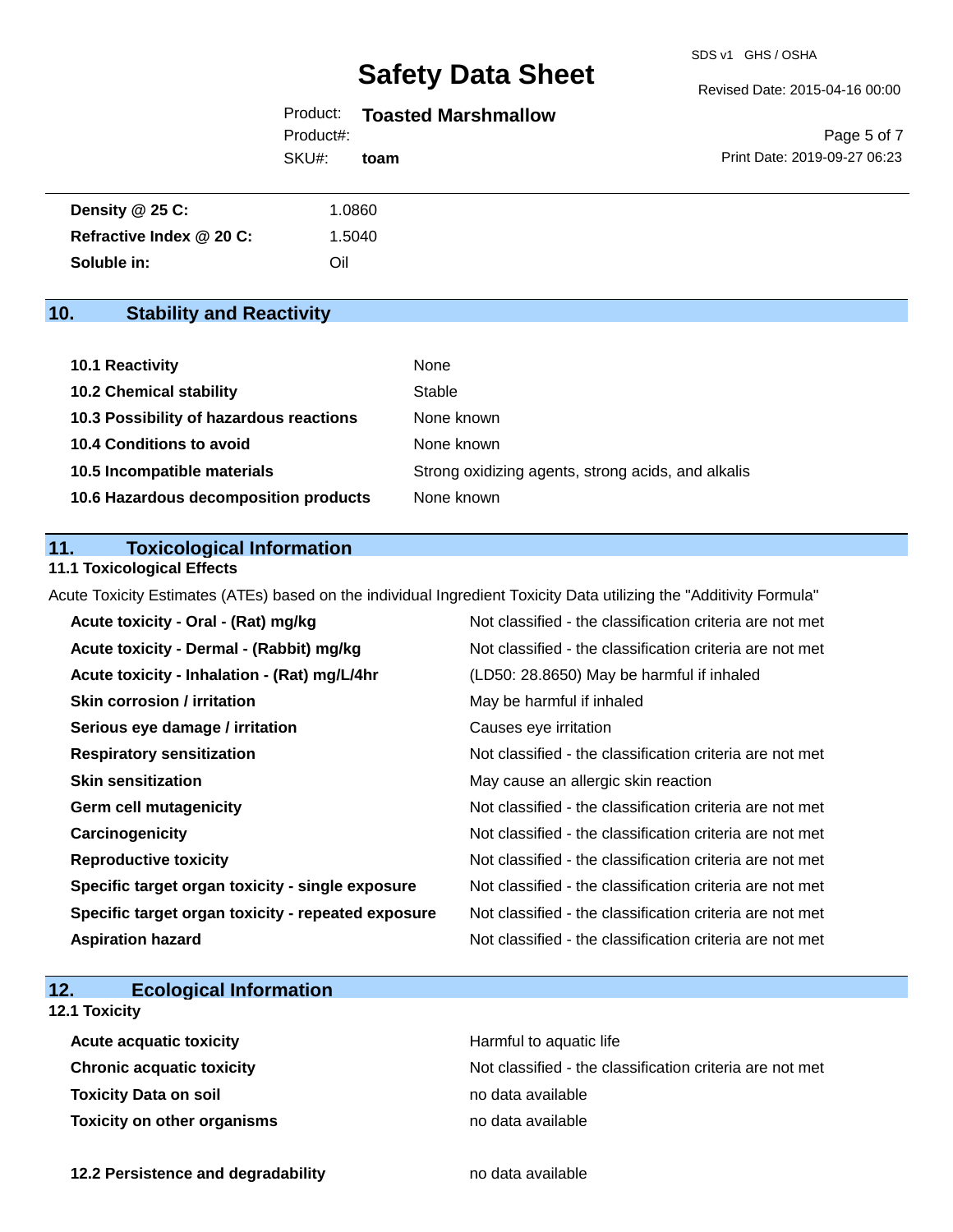SDS v1 GHS / OSHA

Revised Date: 2015-04-16 00:00

## Product: **Toasted Marshmallow**

SKU#: Product#: **toam**

Page 5 of 7 Print Date: 2019-09-27 06:23

| Density @ 25 C:          | .0860  |
|--------------------------|--------|
| Refractive Index @ 20 C: | 1.5040 |
| Soluble in:              | Oil    |

# **10. Stability and Reactivity**

| 10.1 Reactivity                         | None                                               |
|-----------------------------------------|----------------------------------------------------|
| <b>10.2 Chemical stability</b>          | Stable                                             |
| 10.3 Possibility of hazardous reactions | None known                                         |
| <b>10.4 Conditions to avoid</b>         | None known                                         |
| 10.5 Incompatible materials             | Strong oxidizing agents, strong acids, and alkalis |
| 10.6 Hazardous decomposition products   | None known                                         |

## **11. Toxicological Information**

#### **11.1 Toxicological Effects**

Acute Toxicity Estimates (ATEs) based on the individual Ingredient Toxicity Data utilizing the "Additivity Formula"

| Acute toxicity - Oral - (Rat) mg/kg                | Not classified - the classification criteria are not met |
|----------------------------------------------------|----------------------------------------------------------|
| Acute toxicity - Dermal - (Rabbit) mg/kg           | Not classified - the classification criteria are not met |
| Acute toxicity - Inhalation - (Rat) mg/L/4hr       | (LD50: 28.8650) May be harmful if inhaled                |
| <b>Skin corrosion / irritation</b>                 | May be harmful if inhaled                                |
| Serious eye damage / irritation                    | Causes eye irritation                                    |
| <b>Respiratory sensitization</b>                   | Not classified - the classification criteria are not met |
| <b>Skin sensitization</b>                          | May cause an allergic skin reaction                      |
| <b>Germ cell mutagenicity</b>                      | Not classified - the classification criteria are not met |
| Carcinogenicity                                    | Not classified - the classification criteria are not met |
| <b>Reproductive toxicity</b>                       | Not classified - the classification criteria are not met |
| Specific target organ toxicity - single exposure   | Not classified - the classification criteria are not met |
| Specific target organ toxicity - repeated exposure | Not classified - the classification criteria are not met |
| <b>Aspiration hazard</b>                           | Not classified - the classification criteria are not met |

# **12. Ecological Information**

## **12.1 Toxicity**

| <b>Acute acquatic toxicity</b>   | Harmful to aquatic life                                  |
|----------------------------------|----------------------------------------------------------|
| <b>Chronic acquatic toxicity</b> | Not classified - the classification criteria are not met |
| Toxicity Data on soil            | no data available                                        |
| Toxicity on other organisms      | no data available                                        |

**12.2 Persistence and degradability no data available**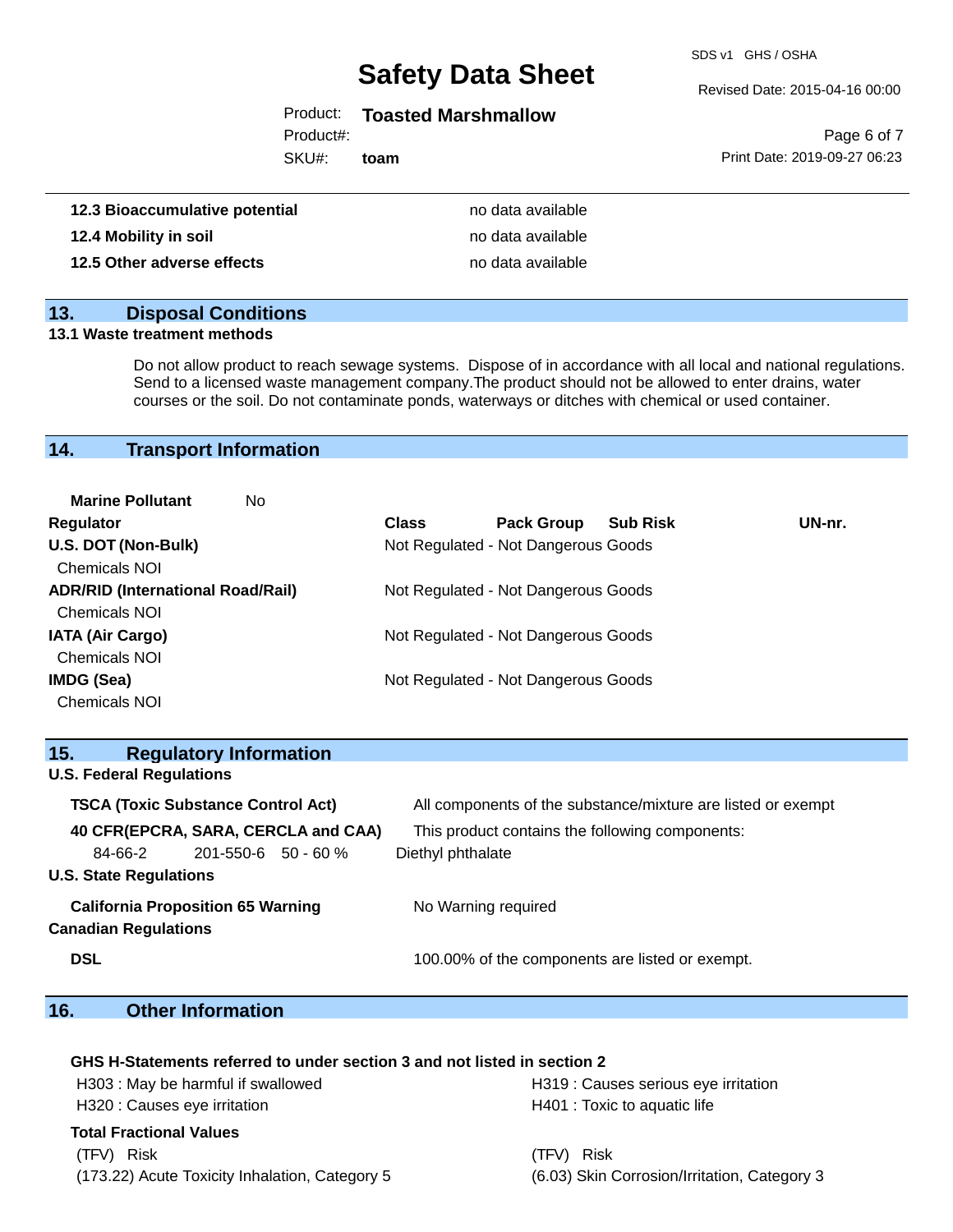SDS v1 GHS / OSHA

Revised Date: 2015-04-16 00:00

# Product: **Toasted Marshmallow**

Product#:

SKU#: **toam**

Page 6 of 7 Print Date: 2019-09-27 06:23

| 12.3 Bioaccumulative potential | no data available |
|--------------------------------|-------------------|
| 12.4 Mobility in soil          | no data available |
| 12.5 Other adverse effects     | no data available |

## **13. Disposal Conditions**

#### **13.1 Waste treatment methods**

Do not allow product to reach sewage systems. Dispose of in accordance with all local and national regulations. Send to a licensed waste management company.The product should not be allowed to enter drains, water courses or the soil. Do not contaminate ponds, waterways or ditches with chemical or used container.

# **14. Transport Information**

| <b>Marine Pollutant</b><br>No            |              |                                     |                 |        |
|------------------------------------------|--------------|-------------------------------------|-----------------|--------|
| <b>Regulator</b>                         | <b>Class</b> | <b>Pack Group</b>                   | <b>Sub Risk</b> | UN-nr. |
| U.S. DOT (Non-Bulk)                      |              | Not Regulated - Not Dangerous Goods |                 |        |
| <b>Chemicals NOI</b>                     |              |                                     |                 |        |
| <b>ADR/RID (International Road/Rail)</b> |              | Not Regulated - Not Dangerous Goods |                 |        |
| <b>Chemicals NOI</b>                     |              |                                     |                 |        |
| <b>IATA (Air Cargo)</b>                  |              | Not Regulated - Not Dangerous Goods |                 |        |
| <b>Chemicals NOI</b>                     |              |                                     |                 |        |
| IMDG (Sea)                               |              | Not Regulated - Not Dangerous Goods |                 |        |
| <b>Chemicals NOI</b>                     |              |                                     |                 |        |

| 15.                                                                     |                                 | <b>Regulatory Information</b> |                                                              |                                                 |  |
|-------------------------------------------------------------------------|---------------------------------|-------------------------------|--------------------------------------------------------------|-------------------------------------------------|--|
|                                                                         | <b>U.S. Federal Regulations</b> |                               |                                                              |                                                 |  |
| <b>TSCA (Toxic Substance Control Act)</b>                               |                                 |                               | All components of the substance/mixture are listed or exempt |                                                 |  |
|                                                                         |                                 |                               | 40 CFR(EPCRA, SARA, CERCLA and CAA)                          | This product contains the following components: |  |
|                                                                         | 84-66-2                         | 201-550-6 50 - 60 %           |                                                              | Diethyl phthalate                               |  |
|                                                                         | <b>U.S. State Regulations</b>   |                               |                                                              |                                                 |  |
| <b>California Proposition 65 Warning</b><br><b>Canadian Regulations</b> |                                 |                               | No Warning required                                          |                                                 |  |
|                                                                         |                                 |                               |                                                              |                                                 |  |
| <b>DSL</b>                                                              |                                 |                               |                                                              | 100.00% of the components are listed or exempt. |  |

# **16. Other Information**

#### **GHS H-Statements referred to under section 3 and not listed in section 2**

| H303: May be harmful if swallowed              | H319 : Causes serious eye irritation         |  |  |
|------------------------------------------------|----------------------------------------------|--|--|
| H320 : Causes eye irritation                   | H401 : Toxic to aquatic life                 |  |  |
| Total Fractional Values                        |                                              |  |  |
| (TFV) Risk                                     | (TFV) Risk                                   |  |  |
| (173.22) Acute Toxicity Inhalation, Category 5 | (6.03) Skin Corrosion/Irritation, Category 3 |  |  |